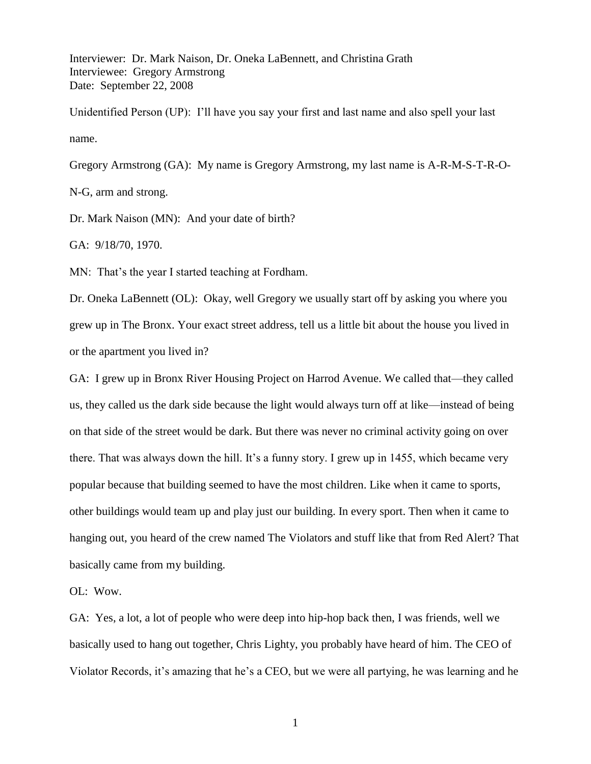Interviewer: Dr. Mark Naison, Dr. Oneka LaBennett, and Christina Grath Interviewee: Gregory Armstrong Date: September 22, 2008

Unidentified Person (UP): I'll have you say your first and last name and also spell your last name.

Gregory Armstrong (GA): My name is Gregory Armstrong, my last name is A-R-M-S-T-R-O-N-G, arm and strong.

Dr. Mark Naison (MN): And your date of birth?

GA: 9/18/70, 1970.

MN: That's the year I started teaching at Fordham.

Dr. Oneka LaBennett (OL): Okay, well Gregory we usually start off by asking you where you grew up in The Bronx. Your exact street address, tell us a little bit about the house you lived in or the apartment you lived in?

GA: I grew up in Bronx River Housing Project on Harrod Avenue. We called that—they called us, they called us the dark side because the light would always turn off at like—instead of being on that side of the street would be dark. But there was never no criminal activity going on over there. That was always down the hill. It's a funny story. I grew up in 1455, which became very popular because that building seemed to have the most children. Like when it came to sports, other buildings would team up and play just our building. In every sport. Then when it came to hanging out, you heard of the crew named The Violators and stuff like that from Red Alert? That basically came from my building.

OL: Wow.

GA: Yes, a lot, a lot of people who were deep into hip-hop back then, I was friends, well we basically used to hang out together, Chris Lighty, you probably have heard of him. The CEO of Violator Records, it's amazing that he's a CEO, but we were all partying, he was learning and he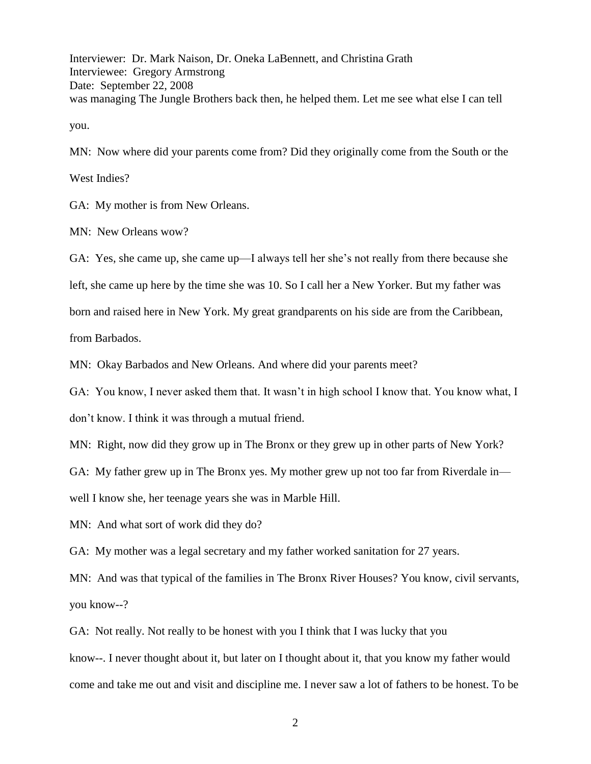Interviewer: Dr. Mark Naison, Dr. Oneka LaBennett, and Christina Grath Interviewee: Gregory Armstrong Date: September 22, 2008 was managing The Jungle Brothers back then, he helped them. Let me see what else I can tell you.

MN: Now where did your parents come from? Did they originally come from the South or the

West Indies?

GA: My mother is from New Orleans.

MN: New Orleans wow?

GA: Yes, she came up, she came up—I always tell her she's not really from there because she

left, she came up here by the time she was 10. So I call her a New Yorker. But my father was

born and raised here in New York. My great grandparents on his side are from the Caribbean,

from Barbados.

MN: Okay Barbados and New Orleans. And where did your parents meet?

GA: You know, I never asked them that. It wasn't in high school I know that. You know what, I don't know. I think it was through a mutual friend.

MN: Right, now did they grow up in The Bronx or they grew up in other parts of New York?

GA: My father grew up in The Bronx yes. My mother grew up not too far from Riverdale in—

well I know she, her teenage years she was in Marble Hill.

MN: And what sort of work did they do?

GA: My mother was a legal secretary and my father worked sanitation for 27 years.

MN: And was that typical of the families in The Bronx River Houses? You know, civil servants, you know--?

GA: Not really. Not really to be honest with you I think that I was lucky that you

know--. I never thought about it, but later on I thought about it, that you know my father would come and take me out and visit and discipline me. I never saw a lot of fathers to be honest. To be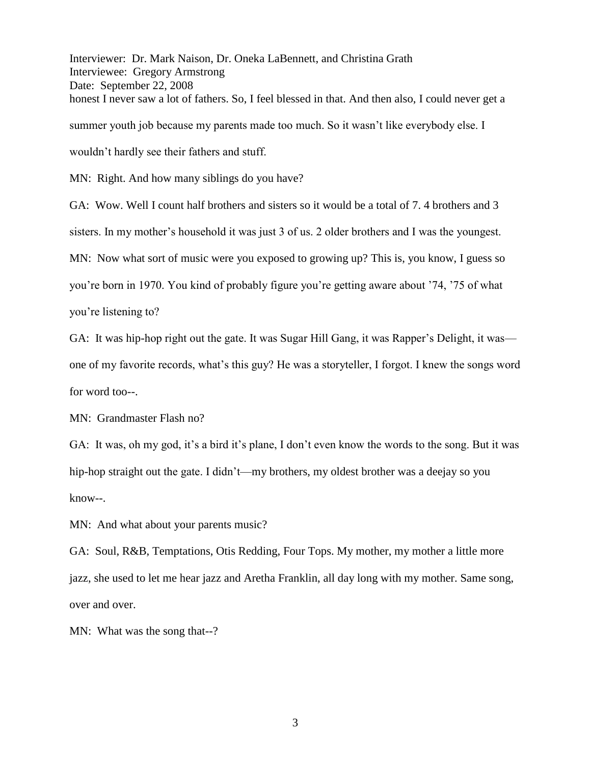Interviewer: Dr. Mark Naison, Dr. Oneka LaBennett, and Christina Grath Interviewee: Gregory Armstrong Date: September 22, 2008 honest I never saw a lot of fathers. So, I feel blessed in that. And then also, I could never get a summer youth job because my parents made too much. So it wasn't like everybody else. I wouldn't hardly see their fathers and stuff.

MN: Right. And how many siblings do you have?

GA: Wow. Well I count half brothers and sisters so it would be a total of 7. 4 brothers and 3 sisters. In my mother's household it was just 3 of us. 2 older brothers and I was the youngest. MN: Now what sort of music were you exposed to growing up? This is, you know, I guess so you're born in 1970. You kind of probably figure you're getting aware about '74, '75 of what you're listening to?

GA: It was hip-hop right out the gate. It was Sugar Hill Gang, it was Rapper's Delight, it was one of my favorite records, what's this guy? He was a storyteller, I forgot. I knew the songs word for word too--.

MN: Grandmaster Flash no?

GA: It was, oh my god, it's a bird it's plane, I don't even know the words to the song. But it was hip-hop straight out the gate. I didn't—my brothers, my oldest brother was a deejay so you know--.

MN: And what about your parents music?

GA: Soul, R&B, Temptations, Otis Redding, Four Tops. My mother, my mother a little more jazz, she used to let me hear jazz and Aretha Franklin, all day long with my mother. Same song, over and over.

MN: What was the song that--?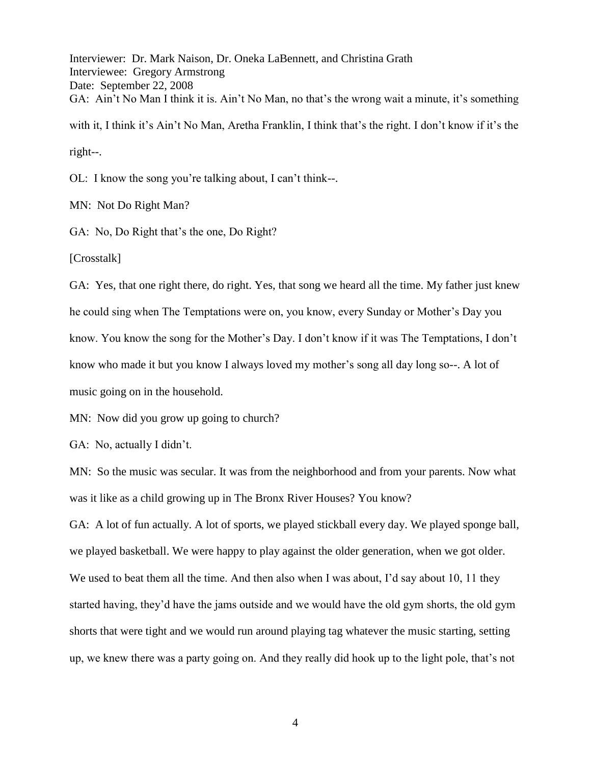Interviewer: Dr. Mark Naison, Dr. Oneka LaBennett, and Christina Grath Interviewee: Gregory Armstrong Date: September 22, 2008 GA: Ain't No Man I think it is. Ain't No Man, no that's the wrong wait a minute, it's something with it, I think it's Ain't No Man, Aretha Franklin, I think that's the right. I don't know if it's the right--.

OL: I know the song you're talking about, I can't think--.

MN: Not Do Right Man?

GA: No, Do Right that's the one, Do Right?

[Crosstalk]

GA: Yes, that one right there, do right. Yes, that song we heard all the time. My father just knew he could sing when The Temptations were on, you know, every Sunday or Mother's Day you know. You know the song for the Mother's Day. I don't know if it was The Temptations, I don't know who made it but you know I always loved my mother's song all day long so--. A lot of music going on in the household.

MN: Now did you grow up going to church?

GA: No, actually I didn't.

MN: So the music was secular. It was from the neighborhood and from your parents. Now what was it like as a child growing up in The Bronx River Houses? You know?

GA: A lot of fun actually. A lot of sports, we played stickball every day. We played sponge ball, we played basketball. We were happy to play against the older generation, when we got older. We used to beat them all the time. And then also when I was about, I'd say about 10, 11 they started having, they'd have the jams outside and we would have the old gym shorts, the old gym shorts that were tight and we would run around playing tag whatever the music starting, setting up, we knew there was a party going on. And they really did hook up to the light pole, that's not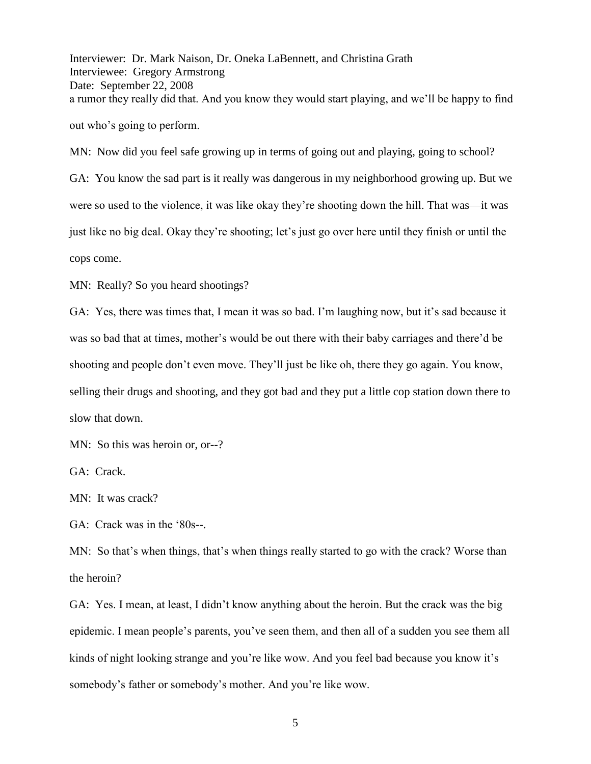Interviewer: Dr. Mark Naison, Dr. Oneka LaBennett, and Christina Grath Interviewee: Gregory Armstrong Date: September 22, 2008 a rumor they really did that. And you know they would start playing, and we'll be happy to find out who's going to perform.

MN: Now did you feel safe growing up in terms of going out and playing, going to school? GA: You know the sad part is it really was dangerous in my neighborhood growing up. But we were so used to the violence, it was like okay they're shooting down the hill. That was—it was just like no big deal. Okay they're shooting; let's just go over here until they finish or until the cops come.

MN: Really? So you heard shootings?

GA: Yes, there was times that, I mean it was so bad. I'm laughing now, but it's sad because it was so bad that at times, mother's would be out there with their baby carriages and there'd be shooting and people don't even move. They'll just be like oh, there they go again. You know, selling their drugs and shooting, and they got bad and they put a little cop station down there to slow that down.

MN: So this was heroin or, or--?

GA: Crack.

MN: It was crack?

GA: Crack was in the '80s--.

MN: So that's when things, that's when things really started to go with the crack? Worse than the heroin?

GA: Yes. I mean, at least, I didn't know anything about the heroin. But the crack was the big epidemic. I mean people's parents, you've seen them, and then all of a sudden you see them all kinds of night looking strange and you're like wow. And you feel bad because you know it's somebody's father or somebody's mother. And you're like wow.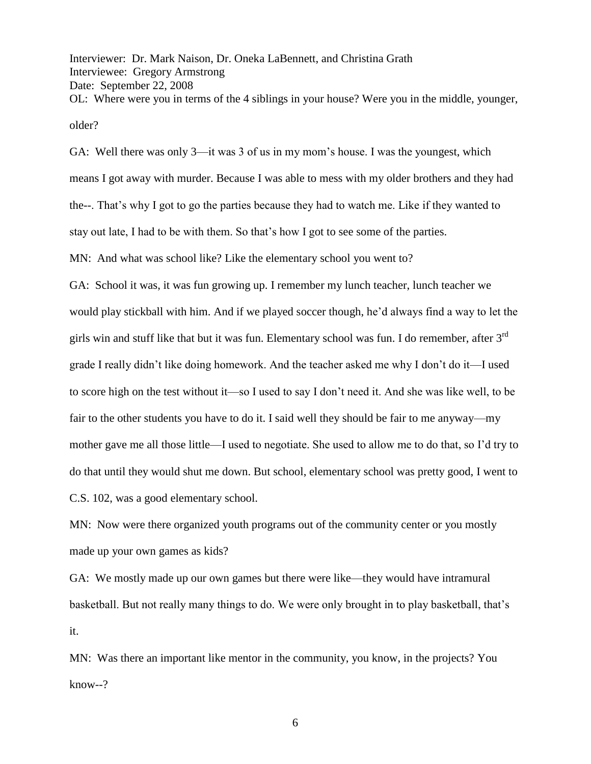Interviewer: Dr. Mark Naison, Dr. Oneka LaBennett, and Christina Grath Interviewee: Gregory Armstrong Date: September 22, 2008 OL: Where were you in terms of the 4 siblings in your house? Were you in the middle, younger, older?

GA: Well there was only 3—it was 3 of us in my mom's house. I was the youngest, which means I got away with murder. Because I was able to mess with my older brothers and they had the--. That's why I got to go the parties because they had to watch me. Like if they wanted to stay out late, I had to be with them. So that's how I got to see some of the parties.

MN: And what was school like? Like the elementary school you went to?

GA: School it was, it was fun growing up. I remember my lunch teacher, lunch teacher we would play stickball with him. And if we played soccer though, he'd always find a way to let the girls win and stuff like that but it was fun. Elementary school was fun. I do remember, after  $3<sup>rd</sup>$ grade I really didn't like doing homework. And the teacher asked me why I don't do it—I used to score high on the test without it—so I used to say I don't need it. And she was like well, to be fair to the other students you have to do it. I said well they should be fair to me anyway—my mother gave me all those little—I used to negotiate. She used to allow me to do that, so I'd try to do that until they would shut me down. But school, elementary school was pretty good, I went to C.S. 102, was a good elementary school.

MN: Now were there organized youth programs out of the community center or you mostly made up your own games as kids?

GA: We mostly made up our own games but there were like—they would have intramural basketball. But not really many things to do. We were only brought in to play basketball, that's it.

MN: Was there an important like mentor in the community, you know, in the projects? You know--?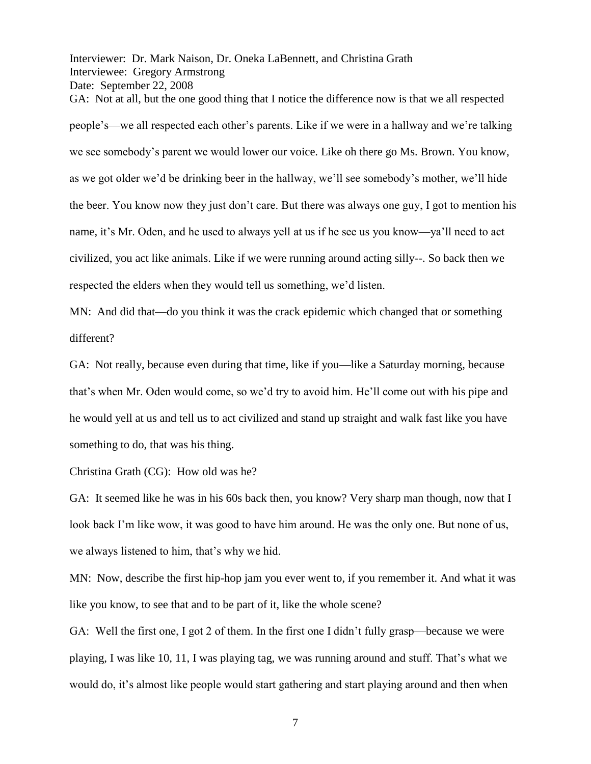Interviewer: Dr. Mark Naison, Dr. Oneka LaBennett, and Christina Grath Interviewee: Gregory Armstrong Date: September 22, 2008

GA: Not at all, but the one good thing that I notice the difference now is that we all respected people's—we all respected each other's parents. Like if we were in a hallway and we're talking we see somebody's parent we would lower our voice. Like oh there go Ms. Brown. You know, as we got older we'd be drinking beer in the hallway, we'll see somebody's mother, we'll hide the beer. You know now they just don't care. But there was always one guy, I got to mention his name, it's Mr. Oden, and he used to always yell at us if he see us you know—ya'll need to act civilized, you act like animals. Like if we were running around acting silly--. So back then we respected the elders when they would tell us something, we'd listen.

MN: And did that—do you think it was the crack epidemic which changed that or something different?

GA: Not really, because even during that time, like if you—like a Saturday morning, because that's when Mr. Oden would come, so we'd try to avoid him. He'll come out with his pipe and he would yell at us and tell us to act civilized and stand up straight and walk fast like you have something to do, that was his thing.

Christina Grath (CG): How old was he?

GA: It seemed like he was in his 60s back then, you know? Very sharp man though, now that I look back I'm like wow, it was good to have him around. He was the only one. But none of us, we always listened to him, that's why we hid.

MN: Now, describe the first hip-hop jam you ever went to, if you remember it. And what it was like you know, to see that and to be part of it, like the whole scene?

GA: Well the first one, I got 2 of them. In the first one I didn't fully grasp—because we were playing, I was like 10, 11, I was playing tag, we was running around and stuff. That's what we would do, it's almost like people would start gathering and start playing around and then when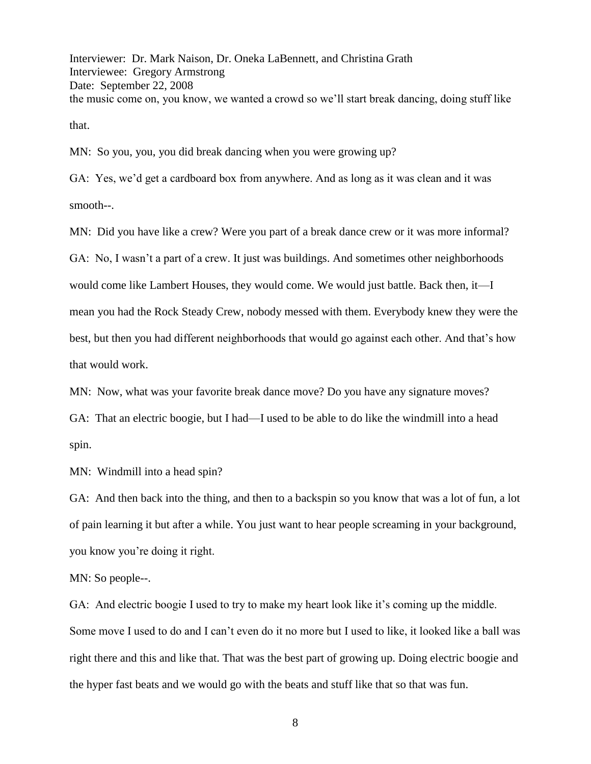Interviewer: Dr. Mark Naison, Dr. Oneka LaBennett, and Christina Grath Interviewee: Gregory Armstrong Date: September 22, 2008 the music come on, you know, we wanted a crowd so we'll start break dancing, doing stuff like that.

MN: So you, you, you did break dancing when you were growing up?

GA: Yes, we'd get a cardboard box from anywhere. And as long as it was clean and it was smooth--.

MN: Did you have like a crew? Were you part of a break dance crew or it was more informal? GA: No, I wasn't a part of a crew. It just was buildings. And sometimes other neighborhoods would come like Lambert Houses, they would come. We would just battle. Back then, it—I mean you had the Rock Steady Crew, nobody messed with them. Everybody knew they were the best, but then you had different neighborhoods that would go against each other. And that's how that would work.

MN: Now, what was your favorite break dance move? Do you have any signature moves?

GA: That an electric boogie, but I had—I used to be able to do like the windmill into a head spin.

MN: Windmill into a head spin?

GA: And then back into the thing, and then to a backspin so you know that was a lot of fun, a lot of pain learning it but after a while. You just want to hear people screaming in your background, you know you're doing it right.

MN: So people--.

GA: And electric boogie I used to try to make my heart look like it's coming up the middle. Some move I used to do and I can't even do it no more but I used to like, it looked like a ball was right there and this and like that. That was the best part of growing up. Doing electric boogie and the hyper fast beats and we would go with the beats and stuff like that so that was fun.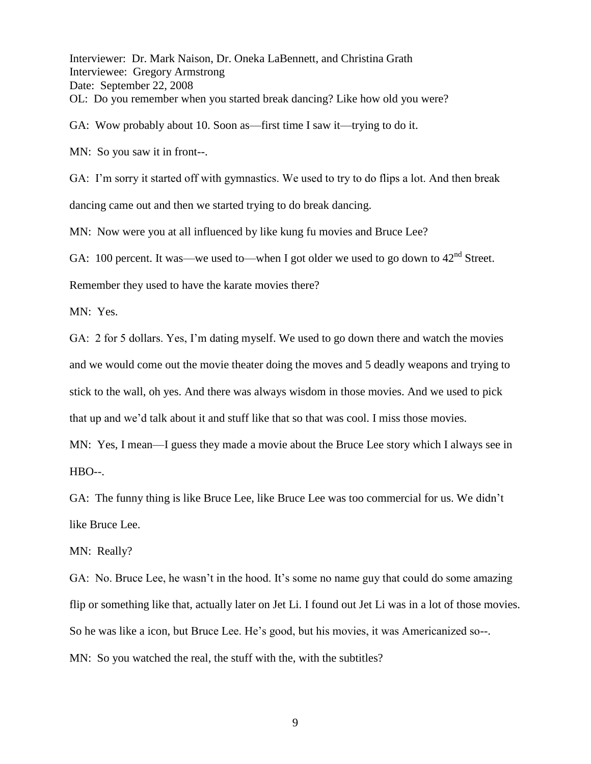Interviewer: Dr. Mark Naison, Dr. Oneka LaBennett, and Christina Grath Interviewee: Gregory Armstrong Date: September 22, 2008 OL: Do you remember when you started break dancing? Like how old you were?

GA: Wow probably about 10. Soon as—first time I saw it—trying to do it.

MN: So you saw it in front--.

GA: I'm sorry it started off with gymnastics. We used to try to do flips a lot. And then break dancing came out and then we started trying to do break dancing.

MN: Now were you at all influenced by like kung fu movies and Bruce Lee?

GA: 100 percent. It was—we used to—when I got older we used to go down to  $42<sup>nd</sup>$  Street.

Remember they used to have the karate movies there?

MN: Yes.

GA: 2 for 5 dollars. Yes, I'm dating myself. We used to go down there and watch the movies and we would come out the movie theater doing the moves and 5 deadly weapons and trying to stick to the wall, oh yes. And there was always wisdom in those movies. And we used to pick that up and we'd talk about it and stuff like that so that was cool. I miss those movies.

MN: Yes, I mean—I guess they made a movie about the Bruce Lee story which I always see in HBO--.

GA: The funny thing is like Bruce Lee, like Bruce Lee was too commercial for us. We didn't like Bruce Lee.

MN: Really?

GA: No. Bruce Lee, he wasn't in the hood. It's some no name guy that could do some amazing flip or something like that, actually later on Jet Li. I found out Jet Li was in a lot of those movies. So he was like a icon, but Bruce Lee. He's good, but his movies, it was Americanized so--. MN: So you watched the real, the stuff with the, with the subtitles?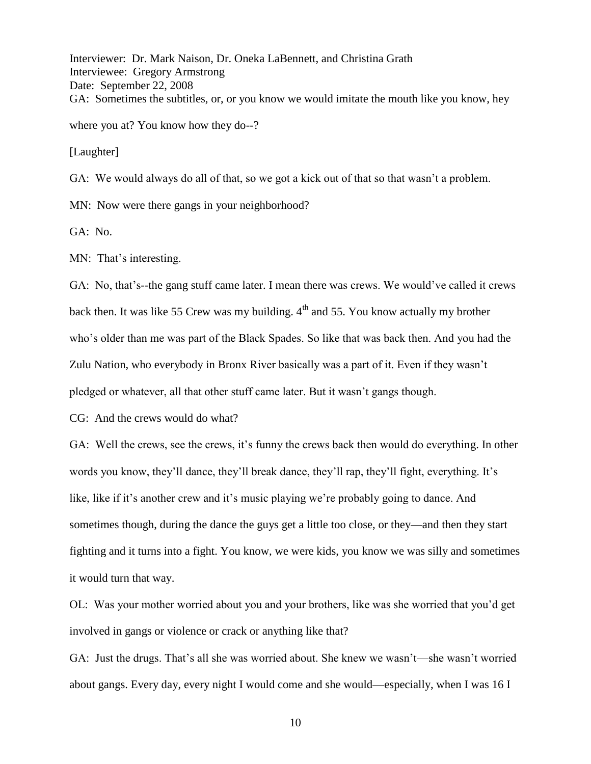Interviewer: Dr. Mark Naison, Dr. Oneka LaBennett, and Christina Grath Interviewee: Gregory Armstrong Date: September 22, 2008 GA: Sometimes the subtitles, or, or you know we would imitate the mouth like you know, hey where you at? You know how they do--?

[Laughter]

GA: We would always do all of that, so we got a kick out of that so that wasn't a problem.

MN: Now were there gangs in your neighborhood?

GA: No.

MN: That's interesting.

GA: No, that's--the gang stuff came later. I mean there was crews. We would've called it crews back then. It was like 55 Crew was my building.  $4<sup>th</sup>$  and 55. You know actually my brother who's older than me was part of the Black Spades. So like that was back then. And you had the Zulu Nation, who everybody in Bronx River basically was a part of it. Even if they wasn't pledged or whatever, all that other stuff came later. But it wasn't gangs though.

CG: And the crews would do what?

GA: Well the crews, see the crews, it's funny the crews back then would do everything. In other words you know, they'll dance, they'll break dance, they'll rap, they'll fight, everything. It's like, like if it's another crew and it's music playing we're probably going to dance. And sometimes though, during the dance the guys get a little too close, or they—and then they start fighting and it turns into a fight. You know, we were kids, you know we was silly and sometimes it would turn that way.

OL: Was your mother worried about you and your brothers, like was she worried that you'd get involved in gangs or violence or crack or anything like that?

GA: Just the drugs. That's all she was worried about. She knew we wasn't—she wasn't worried about gangs. Every day, every night I would come and she would—especially, when I was 16 I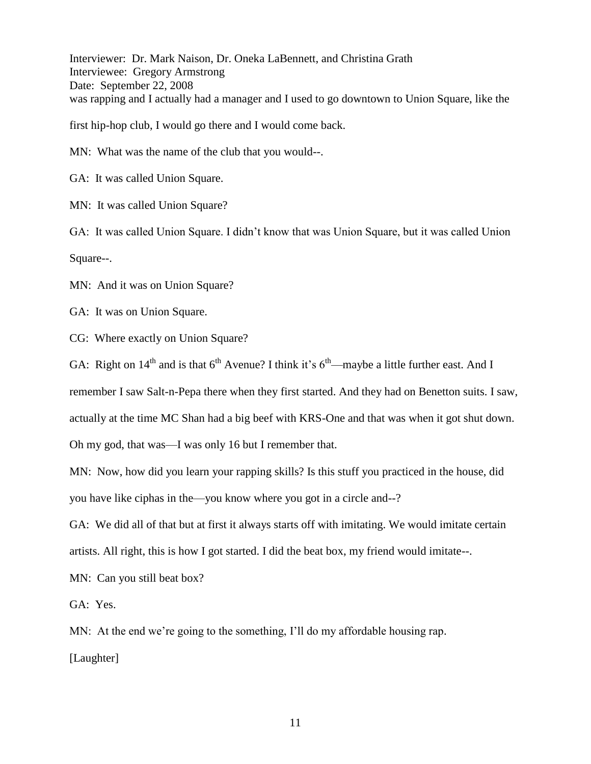Interviewer: Dr. Mark Naison, Dr. Oneka LaBennett, and Christina Grath Interviewee: Gregory Armstrong Date: September 22, 2008 was rapping and I actually had a manager and I used to go downtown to Union Square, like the

first hip-hop club, I would go there and I would come back.

MN: What was the name of the club that you would--.

GA: It was called Union Square.

MN: It was called Union Square?

GA: It was called Union Square. I didn't know that was Union Square, but it was called Union Square--.

MN: And it was on Union Square?

GA: It was on Union Square.

CG: Where exactly on Union Square?

GA: Right on  $14<sup>th</sup>$  and is that  $6<sup>th</sup>$  Avenue? I think it's  $6<sup>th</sup>$ —maybe a little further east. And I

remember I saw Salt-n-Pepa there when they first started. And they had on Benetton suits. I saw,

actually at the time MC Shan had a big beef with KRS-One and that was when it got shut down.

Oh my god, that was—I was only 16 but I remember that.

MN: Now, how did you learn your rapping skills? Is this stuff you practiced in the house, did you have like ciphas in the—you know where you got in a circle and--?

GA: We did all of that but at first it always starts off with imitating. We would imitate certain artists. All right, this is how I got started. I did the beat box, my friend would imitate--.

MN: Can you still beat box?

GA: Yes.

MN: At the end we're going to the something, I'll do my affordable housing rap.

[Laughter]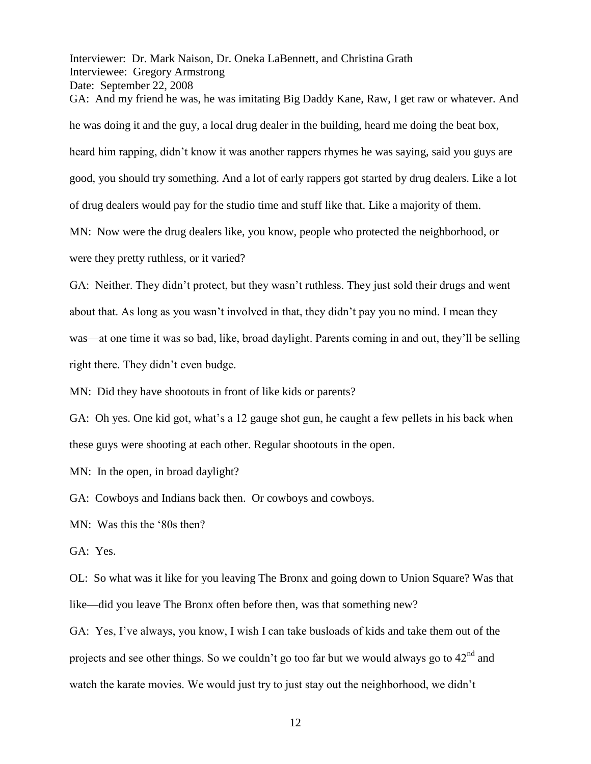Interviewer: Dr. Mark Naison, Dr. Oneka LaBennett, and Christina Grath Interviewee: Gregory Armstrong Date: September 22, 2008 GA: And my friend he was, he was imitating Big Daddy Kane, Raw, I get raw or whatever. And he was doing it and the guy, a local drug dealer in the building, heard me doing the beat box, heard him rapping, didn't know it was another rappers rhymes he was saying, said you guys are good, you should try something. And a lot of early rappers got started by drug dealers. Like a lot of drug dealers would pay for the studio time and stuff like that. Like a majority of them. MN: Now were the drug dealers like, you know, people who protected the neighborhood, or were they pretty ruthless, or it varied?

GA: Neither. They didn't protect, but they wasn't ruthless. They just sold their drugs and went about that. As long as you wasn't involved in that, they didn't pay you no mind. I mean they was—at one time it was so bad, like, broad daylight. Parents coming in and out, they'll be selling right there. They didn't even budge.

MN: Did they have shootouts in front of like kids or parents?

GA: Oh yes. One kid got, what's a 12 gauge shot gun, he caught a few pellets in his back when these guys were shooting at each other. Regular shootouts in the open.

MN: In the open, in broad daylight?

GA: Cowboys and Indians back then. Or cowboys and cowboys.

MN: Was this the '80s then?

GA: Yes.

OL: So what was it like for you leaving The Bronx and going down to Union Square? Was that like—did you leave The Bronx often before then, was that something new?

GA: Yes, I've always, you know, I wish I can take busloads of kids and take them out of the projects and see other things. So we couldn't go too far but we would always go to  $42<sup>nd</sup>$  and watch the karate movies. We would just try to just stay out the neighborhood, we didn't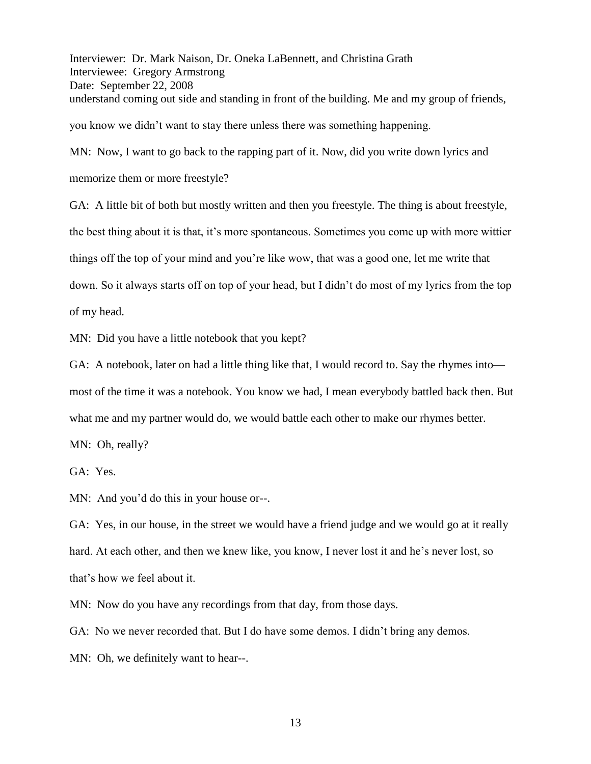Interviewer: Dr. Mark Naison, Dr. Oneka LaBennett, and Christina Grath Interviewee: Gregory Armstrong Date: September 22, 2008 understand coming out side and standing in front of the building. Me and my group of friends, you know we didn't want to stay there unless there was something happening.

MN: Now, I want to go back to the rapping part of it. Now, did you write down lyrics and

memorize them or more freestyle?

GA: A little bit of both but mostly written and then you freestyle. The thing is about freestyle, the best thing about it is that, it's more spontaneous. Sometimes you come up with more wittier things off the top of your mind and you're like wow, that was a good one, let me write that down. So it always starts off on top of your head, but I didn't do most of my lyrics from the top of my head.

MN: Did you have a little notebook that you kept?

GA: A notebook, later on had a little thing like that, I would record to. Say the rhymes into most of the time it was a notebook. You know we had, I mean everybody battled back then. But what me and my partner would do, we would battle each other to make our rhymes better.

MN: Oh, really?

GA: Yes.

MN: And you'd do this in your house or--.

GA: Yes, in our house, in the street we would have a friend judge and we would go at it really hard. At each other, and then we knew like, you know, I never lost it and he's never lost, so that's how we feel about it.

MN: Now do you have any recordings from that day, from those days.

GA: No we never recorded that. But I do have some demos. I didn't bring any demos.

MN: Oh, we definitely want to hear--.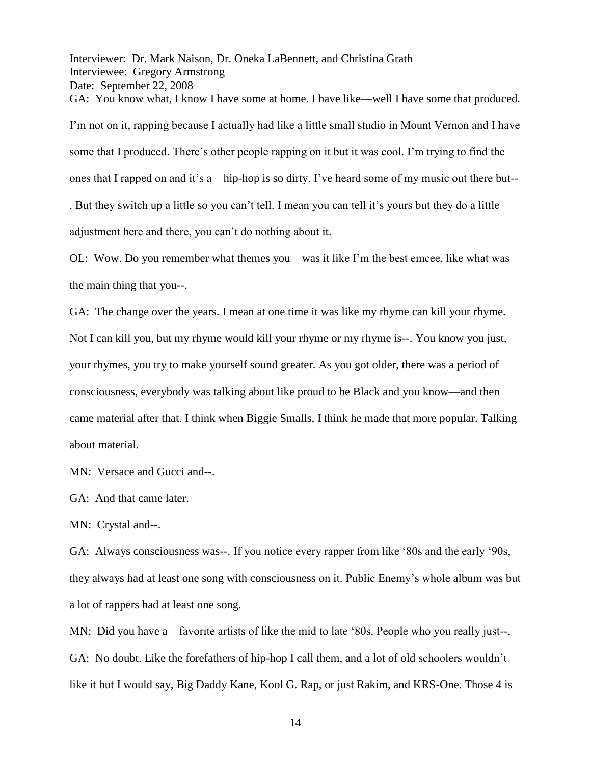Interviewer: Dr. Mark Naison, Dr. Oneka LaBennett, and Christina Grath Interviewee: Gregory Armstrong Date: September 22, 2008 GA: You know what, I know I have some at home. I have like—well I have some that produced. I'm not on it, rapping because I actually had like a little small studio in Mount Vernon and I have some that I produced. There's other people rapping on it but it was cool. I'm trying to find the ones that I rapped on and it's a—hip-hop is so dirty. I've heard some of my music out there but-- . But they switch up a little so you can't tell. I mean you can tell it's yours but they do a little adjustment here and there, you can't do nothing about it.

OL: Wow. Do you remember what themes you—was it like I'm the best emcee, like what was the main thing that you--.

GA: The change over the years. I mean at one time it was like my rhyme can kill your rhyme. Not I can kill you, but my rhyme would kill your rhyme or my rhyme is--. You know you just, your rhymes, you try to make yourself sound greater. As you got older, there was a period of consciousness, everybody was talking about like proud to be Black and you know—and then came material after that. I think when Biggie Smalls, I think he made that more popular. Talking about material.

MN: Versace and Gucci and--.

GA: And that came later.

MN: Crystal and--.

GA: Always consciousness was--. If you notice every rapper from like '80s and the early '90s, they always had at least one song with consciousness on it. Public Enemy's whole album was but a lot of rappers had at least one song.

MN: Did you have a—favorite artists of like the mid to late '80s. People who you really just--. GA: No doubt. Like the forefathers of hip-hop I call them, and a lot of old schoolers wouldn't like it but I would say, Big Daddy Kane, Kool G. Rap, or just Rakim, and KRS-One. Those 4 is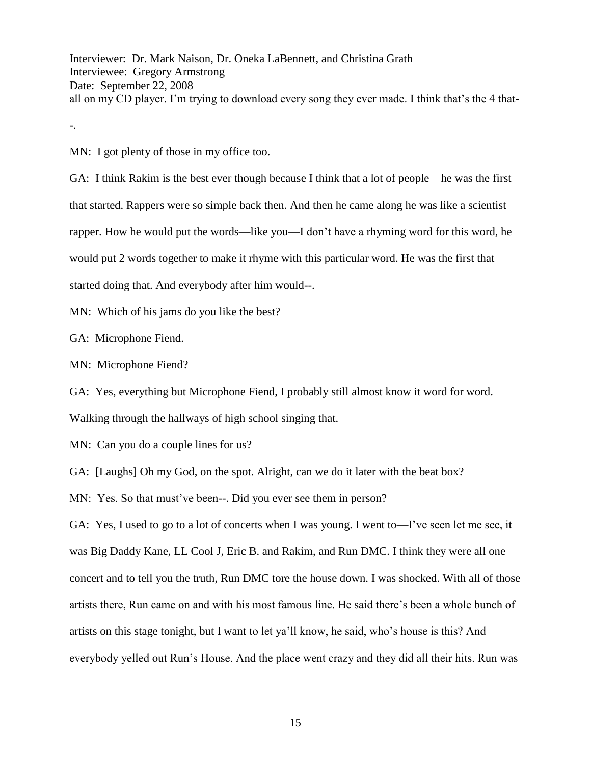Interviewer: Dr. Mark Naison, Dr. Oneka LaBennett, and Christina Grath Interviewee: Gregory Armstrong Date: September 22, 2008 all on my CD player. I'm trying to download every song they ever made. I think that's the 4 that-

-.

MN: I got plenty of those in my office too.

GA: I think Rakim is the best ever though because I think that a lot of people—he was the first that started. Rappers were so simple back then. And then he came along he was like a scientist rapper. How he would put the words—like you—I don't have a rhyming word for this word, he would put 2 words together to make it rhyme with this particular word. He was the first that started doing that. And everybody after him would--.

MN: Which of his jams do you like the best?

GA: Microphone Fiend.

MN: Microphone Fiend?

GA: Yes, everything but Microphone Fiend, I probably still almost know it word for word.

Walking through the hallways of high school singing that.

MN: Can you do a couple lines for us?

GA: [Laughs] Oh my God, on the spot. Alright, can we do it later with the beat box?

MN: Yes. So that must've been--. Did you ever see them in person?

GA: Yes, I used to go to a lot of concerts when I was young. I went to—I've seen let me see, it was Big Daddy Kane, LL Cool J, Eric B. and Rakim, and Run DMC. I think they were all one concert and to tell you the truth, Run DMC tore the house down. I was shocked. With all of those artists there, Run came on and with his most famous line. He said there's been a whole bunch of artists on this stage tonight, but I want to let ya'll know, he said, who's house is this? And everybody yelled out Run's House. And the place went crazy and they did all their hits. Run was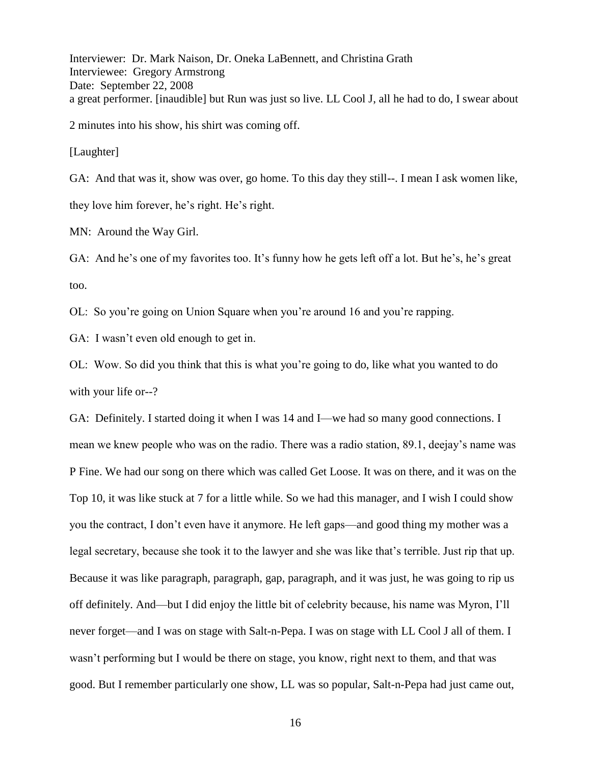Interviewer: Dr. Mark Naison, Dr. Oneka LaBennett, and Christina Grath Interviewee: Gregory Armstrong Date: September 22, 2008 a great performer. [inaudible] but Run was just so live. LL Cool J, all he had to do, I swear about

2 minutes into his show, his shirt was coming off.

[Laughter]

GA: And that was it, show was over, go home. To this day they still--. I mean I ask women like, they love him forever, he's right. He's right.

MN: Around the Way Girl.

GA: And he's one of my favorites too. It's funny how he gets left off a lot. But he's, he's great too.

OL: So you're going on Union Square when you're around 16 and you're rapping.

GA: I wasn't even old enough to get in.

OL: Wow. So did you think that this is what you're going to do, like what you wanted to do with your life or--?

GA: Definitely. I started doing it when I was 14 and I—we had so many good connections. I mean we knew people who was on the radio. There was a radio station, 89.1, deejay's name was P Fine. We had our song on there which was called Get Loose. It was on there, and it was on the Top 10, it was like stuck at 7 for a little while. So we had this manager, and I wish I could show you the contract, I don't even have it anymore. He left gaps—and good thing my mother was a legal secretary, because she took it to the lawyer and she was like that's terrible. Just rip that up. Because it was like paragraph, paragraph, gap, paragraph, and it was just, he was going to rip us off definitely. And—but I did enjoy the little bit of celebrity because, his name was Myron, I'll never forget—and I was on stage with Salt-n-Pepa. I was on stage with LL Cool J all of them. I wasn't performing but I would be there on stage, you know, right next to them, and that was good. But I remember particularly one show, LL was so popular, Salt-n-Pepa had just came out,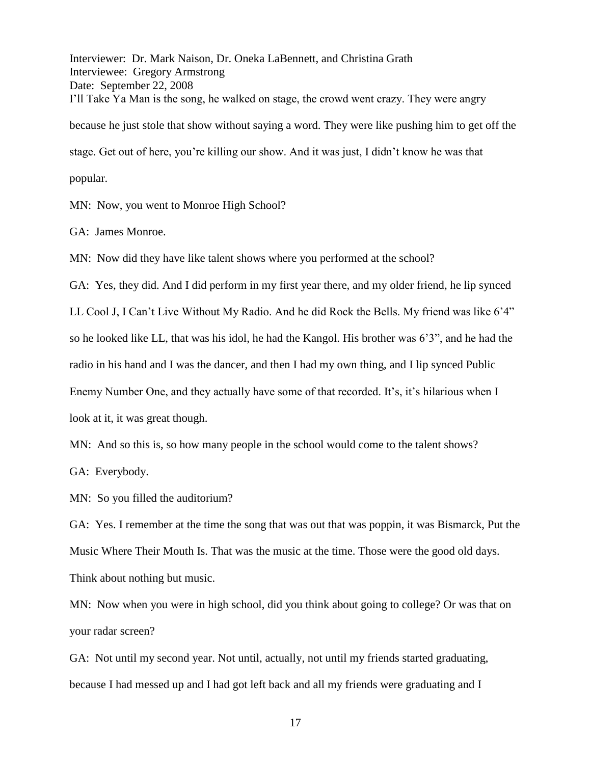Interviewer: Dr. Mark Naison, Dr. Oneka LaBennett, and Christina Grath Interviewee: Gregory Armstrong Date: September 22, 2008 I'll Take Ya Man is the song, he walked on stage, the crowd went crazy. They were angry because he just stole that show without saying a word. They were like pushing him to get off the stage. Get out of here, you're killing our show. And it was just, I didn't know he was that popular.

MN: Now, you went to Monroe High School?

GA: James Monroe.

MN: Now did they have like talent shows where you performed at the school?

GA: Yes, they did. And I did perform in my first year there, and my older friend, he lip synced

LL Cool J, I Can't Live Without My Radio. And he did Rock the Bells. My friend was like 6'4" so he looked like LL, that was his idol, he had the Kangol. His brother was 6'3", and he had the radio in his hand and I was the dancer, and then I had my own thing, and I lip synced Public Enemy Number One, and they actually have some of that recorded. It's, it's hilarious when I look at it, it was great though.

MN: And so this is, so how many people in the school would come to the talent shows?

GA: Everybody.

MN: So you filled the auditorium?

GA: Yes. I remember at the time the song that was out that was poppin, it was Bismarck, Put the Music Where Their Mouth Is. That was the music at the time. Those were the good old days. Think about nothing but music.

MN: Now when you were in high school, did you think about going to college? Or was that on your radar screen?

GA: Not until my second year. Not until, actually, not until my friends started graduating, because I had messed up and I had got left back and all my friends were graduating and I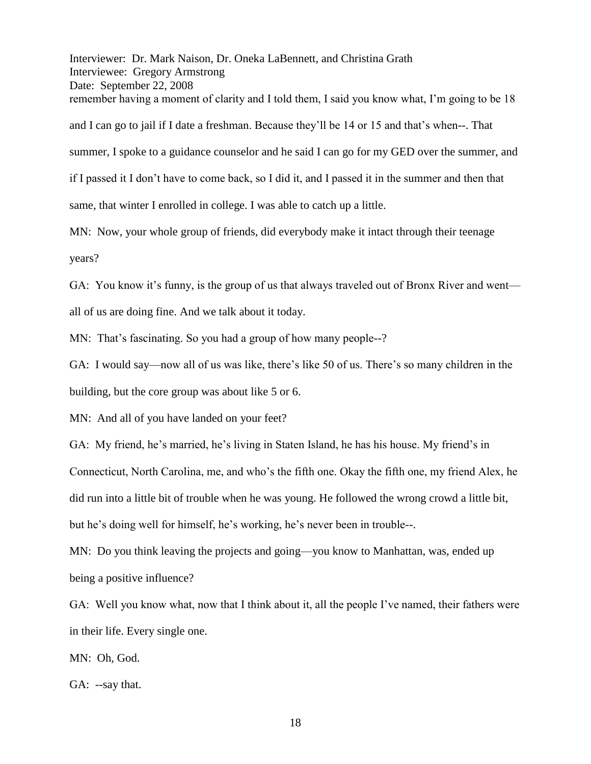Interviewer: Dr. Mark Naison, Dr. Oneka LaBennett, and Christina Grath Interviewee: Gregory Armstrong Date: September 22, 2008 remember having a moment of clarity and I told them, I said you know what, I'm going to be 18 and I can go to jail if I date a freshman. Because they'll be 14 or 15 and that's when--. That summer, I spoke to a guidance counselor and he said I can go for my GED over the summer, and if I passed it I don't have to come back, so I did it, and I passed it in the summer and then that same, that winter I enrolled in college. I was able to catch up a little.

MN: Now, your whole group of friends, did everybody make it intact through their teenage years?

GA: You know it's funny, is the group of us that always traveled out of Bronx River and went all of us are doing fine. And we talk about it today.

MN: That's fascinating. So you had a group of how many people--?

GA: I would say—now all of us was like, there's like 50 of us. There's so many children in the building, but the core group was about like 5 or 6.

MN: And all of you have landed on your feet?

GA: My friend, he's married, he's living in Staten Island, he has his house. My friend's in Connecticut, North Carolina, me, and who's the fifth one. Okay the fifth one, my friend Alex, he did run into a little bit of trouble when he was young. He followed the wrong crowd a little bit, but he's doing well for himself, he's working, he's never been in trouble--.

MN: Do you think leaving the projects and going—you know to Manhattan, was, ended up being a positive influence?

GA: Well you know what, now that I think about it, all the people I've named, their fathers were in their life. Every single one.

MN: Oh, God.

GA: --say that.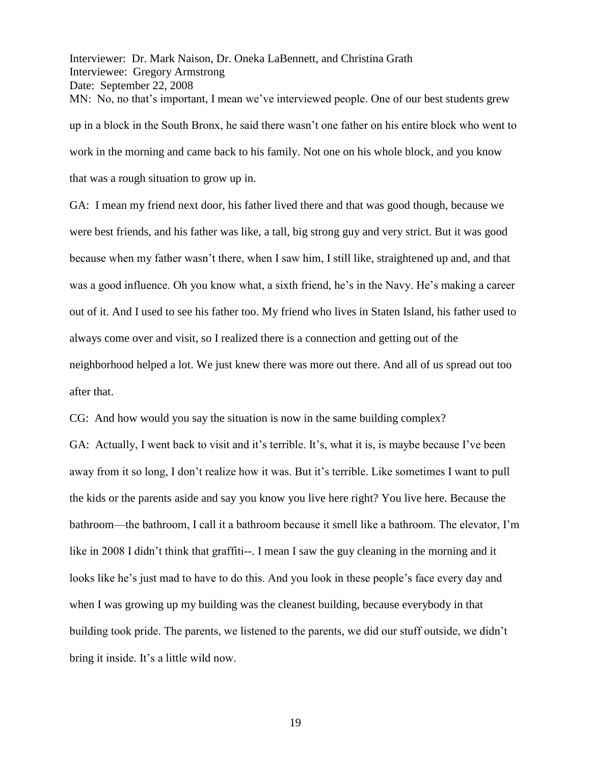Interviewer: Dr. Mark Naison, Dr. Oneka LaBennett, and Christina Grath Interviewee: Gregory Armstrong Date: September 22, 2008 MN: No, no that's important, I mean we've interviewed people. One of our best students grew up in a block in the South Bronx, he said there wasn't one father on his entire block who went to work in the morning and came back to his family. Not one on his whole block, and you know that was a rough situation to grow up in.

GA: I mean my friend next door, his father lived there and that was good though, because we were best friends, and his father was like, a tall, big strong guy and very strict. But it was good because when my father wasn't there, when I saw him, I still like, straightened up and, and that was a good influence. Oh you know what, a sixth friend, he's in the Navy. He's making a career out of it. And I used to see his father too. My friend who lives in Staten Island, his father used to always come over and visit, so I realized there is a connection and getting out of the neighborhood helped a lot. We just knew there was more out there. And all of us spread out too after that.

CG: And how would you say the situation is now in the same building complex?

GA: Actually, I went back to visit and it's terrible. It's, what it is, is maybe because I've been away from it so long, I don't realize how it was. But it's terrible. Like sometimes I want to pull the kids or the parents aside and say you know you live here right? You live here. Because the bathroom—the bathroom, I call it a bathroom because it smell like a bathroom. The elevator, I'm like in 2008 I didn't think that graffiti--. I mean I saw the guy cleaning in the morning and it looks like he's just mad to have to do this. And you look in these people's face every day and when I was growing up my building was the cleanest building, because everybody in that building took pride. The parents, we listened to the parents, we did our stuff outside, we didn't bring it inside. It's a little wild now.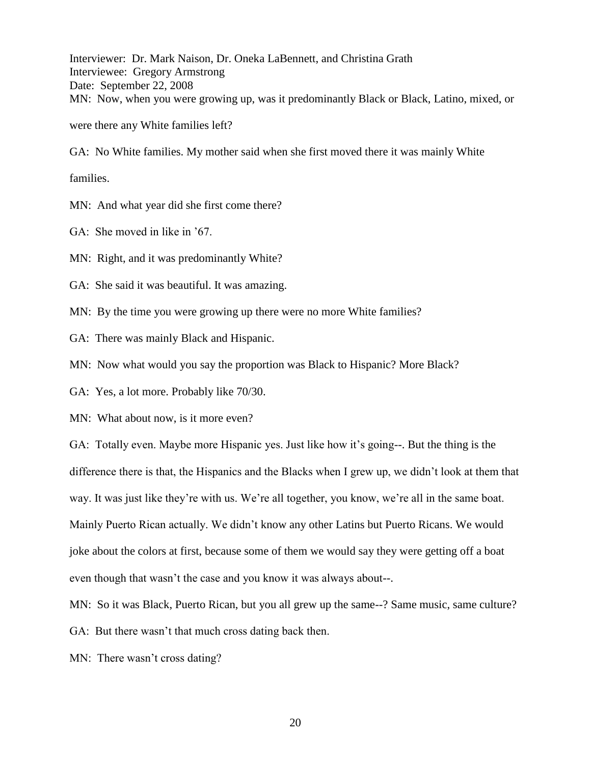Interviewer: Dr. Mark Naison, Dr. Oneka LaBennett, and Christina Grath Interviewee: Gregory Armstrong Date: September 22, 2008 MN: Now, when you were growing up, was it predominantly Black or Black, Latino, mixed, or were there any White families left?

GA: No White families. My mother said when she first moved there it was mainly White families.

MN: And what year did she first come there?

GA: She moved in like in '67.

MN: Right, and it was predominantly White?

GA: She said it was beautiful. It was amazing.

MN: By the time you were growing up there were no more White families?

GA: There was mainly Black and Hispanic.

MN: Now what would you say the proportion was Black to Hispanic? More Black?

GA: Yes, a lot more. Probably like 70/30.

MN: What about now, is it more even?

GA: Totally even. Maybe more Hispanic yes. Just like how it's going--. But the thing is the difference there is that, the Hispanics and the Blacks when I grew up, we didn't look at them that way. It was just like they're with us. We're all together, you know, we're all in the same boat. Mainly Puerto Rican actually. We didn't know any other Latins but Puerto Ricans. We would joke about the colors at first, because some of them we would say they were getting off a boat even though that wasn't the case and you know it was always about--.

MN: So it was Black, Puerto Rican, but you all grew up the same--? Same music, same culture?

GA: But there wasn't that much cross dating back then.

MN: There wasn't cross dating?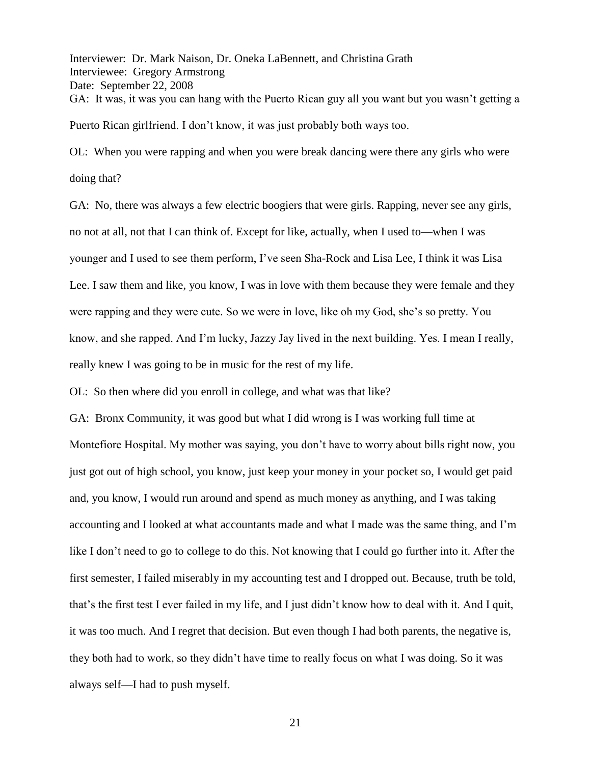Interviewer: Dr. Mark Naison, Dr. Oneka LaBennett, and Christina Grath Interviewee: Gregory Armstrong Date: September 22, 2008 GA: It was, it was you can hang with the Puerto Rican guy all you want but you wasn't getting a Puerto Rican girlfriend. I don't know, it was just probably both ways too.

OL: When you were rapping and when you were break dancing were there any girls who were doing that?

GA: No, there was always a few electric boogiers that were girls. Rapping, never see any girls, no not at all, not that I can think of. Except for like, actually, when I used to—when I was younger and I used to see them perform, I've seen Sha-Rock and Lisa Lee, I think it was Lisa Lee. I saw them and like, you know, I was in love with them because they were female and they were rapping and they were cute. So we were in love, like oh my God, she's so pretty. You know, and she rapped. And I'm lucky, Jazzy Jay lived in the next building. Yes. I mean I really, really knew I was going to be in music for the rest of my life.

OL: So then where did you enroll in college, and what was that like?

GA: Bronx Community, it was good but what I did wrong is I was working full time at Montefiore Hospital. My mother was saying, you don't have to worry about bills right now, you just got out of high school, you know, just keep your money in your pocket so, I would get paid and, you know, I would run around and spend as much money as anything, and I was taking accounting and I looked at what accountants made and what I made was the same thing, and I'm like I don't need to go to college to do this. Not knowing that I could go further into it. After the first semester, I failed miserably in my accounting test and I dropped out. Because, truth be told, that's the first test I ever failed in my life, and I just didn't know how to deal with it. And I quit, it was too much. And I regret that decision. But even though I had both parents, the negative is, they both had to work, so they didn't have time to really focus on what I was doing. So it was always self—I had to push myself.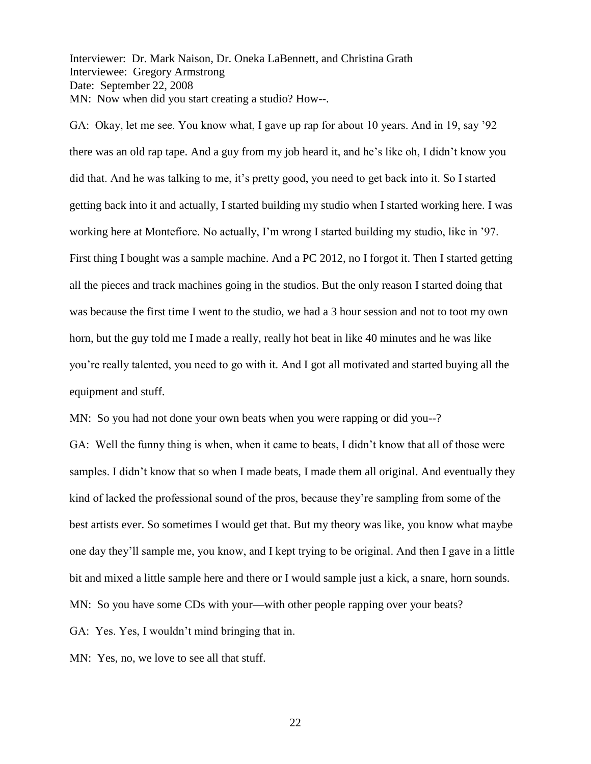Interviewer: Dr. Mark Naison, Dr. Oneka LaBennett, and Christina Grath Interviewee: Gregory Armstrong Date: September 22, 2008 MN: Now when did you start creating a studio? How--.

GA: Okay, let me see. You know what, I gave up rap for about 10 years. And in 19, say '92 there was an old rap tape. And a guy from my job heard it, and he's like oh, I didn't know you did that. And he was talking to me, it's pretty good, you need to get back into it. So I started getting back into it and actually, I started building my studio when I started working here. I was working here at Montefiore. No actually, I'm wrong I started building my studio, like in '97. First thing I bought was a sample machine. And a PC 2012, no I forgot it. Then I started getting all the pieces and track machines going in the studios. But the only reason I started doing that was because the first time I went to the studio, we had a 3 hour session and not to toot my own horn, but the guy told me I made a really, really hot beat in like 40 minutes and he was like you're really talented, you need to go with it. And I got all motivated and started buying all the equipment and stuff.

MN: So you had not done your own beats when you were rapping or did you--?

GA: Well the funny thing is when, when it came to beats, I didn't know that all of those were samples. I didn't know that so when I made beats, I made them all original. And eventually they kind of lacked the professional sound of the pros, because they're sampling from some of the best artists ever. So sometimes I would get that. But my theory was like, you know what maybe one day they'll sample me, you know, and I kept trying to be original. And then I gave in a little bit and mixed a little sample here and there or I would sample just a kick, a snare, horn sounds. MN: So you have some CDs with your—with other people rapping over your beats?

GA: Yes. Yes, I wouldn't mind bringing that in.

MN: Yes, no, we love to see all that stuff.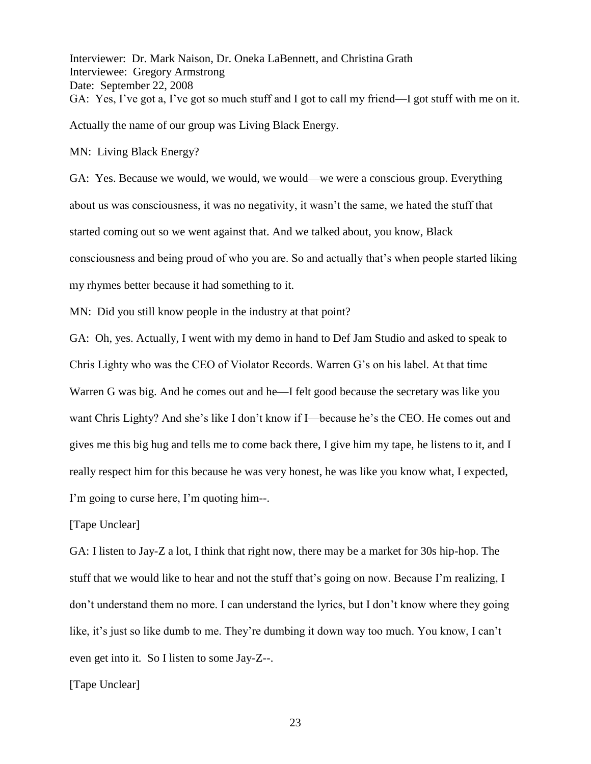Interviewer: Dr. Mark Naison, Dr. Oneka LaBennett, and Christina Grath Interviewee: Gregory Armstrong Date: September 22, 2008 GA: Yes, I've got a, I've got so much stuff and I got to call my friend—I got stuff with me on it. Actually the name of our group was Living Black Energy.

MN: Living Black Energy?

GA: Yes. Because we would, we would, we would—we were a conscious group. Everything about us was consciousness, it was no negativity, it wasn't the same, we hated the stuff that started coming out so we went against that. And we talked about, you know, Black consciousness and being proud of who you are. So and actually that's when people started liking my rhymes better because it had something to it.

MN: Did you still know people in the industry at that point?

GA: Oh, yes. Actually, I went with my demo in hand to Def Jam Studio and asked to speak to Chris Lighty who was the CEO of Violator Records. Warren G's on his label. At that time Warren G was big. And he comes out and he—I felt good because the secretary was like you want Chris Lighty? And she's like I don't know if I—because he's the CEO. He comes out and gives me this big hug and tells me to come back there, I give him my tape, he listens to it, and I really respect him for this because he was very honest, he was like you know what, I expected, I'm going to curse here, I'm quoting him--.

[Tape Unclear]

GA: I listen to Jay-Z a lot, I think that right now, there may be a market for 30s hip-hop. The stuff that we would like to hear and not the stuff that's going on now. Because I'm realizing, I don't understand them no more. I can understand the lyrics, but I don't know where they going like, it's just so like dumb to me. They're dumbing it down way too much. You know, I can't even get into it. So I listen to some Jay-Z--.

[Tape Unclear]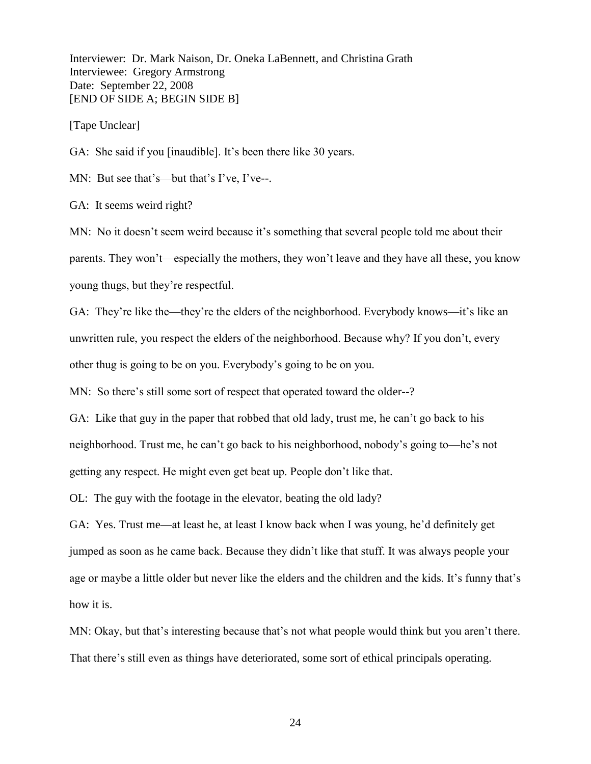Interviewer: Dr. Mark Naison, Dr. Oneka LaBennett, and Christina Grath Interviewee: Gregory Armstrong Date: September 22, 2008 [END OF SIDE A; BEGIN SIDE B]

[Tape Unclear]

GA: She said if you [inaudible]. It's been there like 30 years.

MN: But see that's—but that's I've, I've--.

GA: It seems weird right?

MN: No it doesn't seem weird because it's something that several people told me about their parents. They won't—especially the mothers, they won't leave and they have all these, you know young thugs, but they're respectful.

GA: They're like the—they're the elders of the neighborhood. Everybody knows—it's like an unwritten rule, you respect the elders of the neighborhood. Because why? If you don't, every other thug is going to be on you. Everybody's going to be on you.

MN: So there's still some sort of respect that operated toward the older--?

GA: Like that guy in the paper that robbed that old lady, trust me, he can't go back to his neighborhood. Trust me, he can't go back to his neighborhood, nobody's going to—he's not getting any respect. He might even get beat up. People don't like that.

OL: The guy with the footage in the elevator, beating the old lady?

GA: Yes. Trust me—at least he, at least I know back when I was young, he'd definitely get jumped as soon as he came back. Because they didn't like that stuff. It was always people your age or maybe a little older but never like the elders and the children and the kids. It's funny that's how it is.

MN: Okay, but that's interesting because that's not what people would think but you aren't there. That there's still even as things have deteriorated, some sort of ethical principals operating.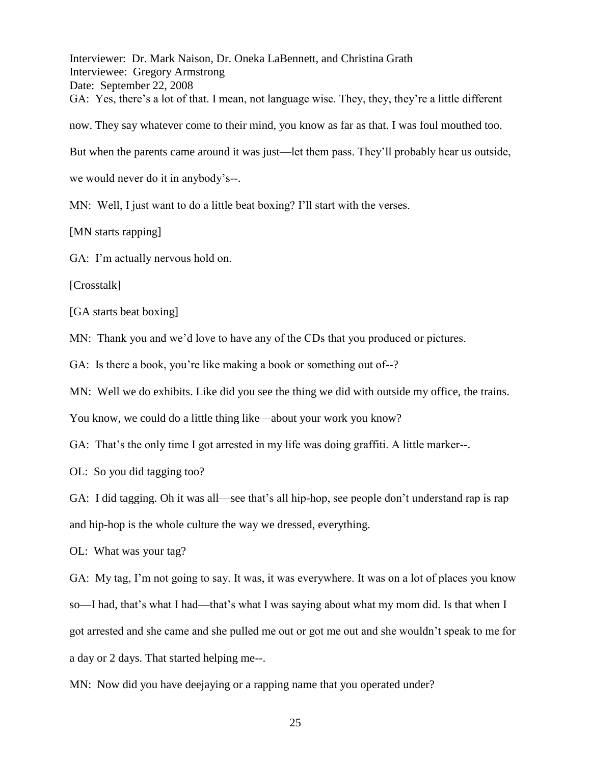Interviewer: Dr. Mark Naison, Dr. Oneka LaBennett, and Christina Grath Interviewee: Gregory Armstrong Date: September 22, 2008 GA: Yes, there's a lot of that. I mean, not language wise. They, they, they're a little different now. They say whatever come to their mind, you know as far as that. I was foul mouthed too. But when the parents came around it was just—let them pass. They'll probably hear us outside, we would never do it in anybody's--. MN: Well, I just want to do a little beat boxing? I'll start with the verses.

[MN starts rapping]

GA: I'm actually nervous hold on.

[Crosstalk]

[GA starts beat boxing]

MN: Thank you and we'd love to have any of the CDs that you produced or pictures.

GA: Is there a book, you're like making a book or something out of--?

MN: Well we do exhibits. Like did you see the thing we did with outside my office, the trains.

You know, we could do a little thing like—about your work you know?

GA: That's the only time I got arrested in my life was doing graffiti. A little marker--.

OL: So you did tagging too?

GA: I did tagging. Oh it was all—see that's all hip-hop, see people don't understand rap is rap and hip-hop is the whole culture the way we dressed, everything.

OL: What was your tag?

GA: My tag, I'm not going to say. It was, it was everywhere. It was on a lot of places you know so—I had, that's what I had—that's what I was saying about what my mom did. Is that when I got arrested and she came and she pulled me out or got me out and she wouldn't speak to me for a day or 2 days. That started helping me--.

MN: Now did you have deejaying or a rapping name that you operated under?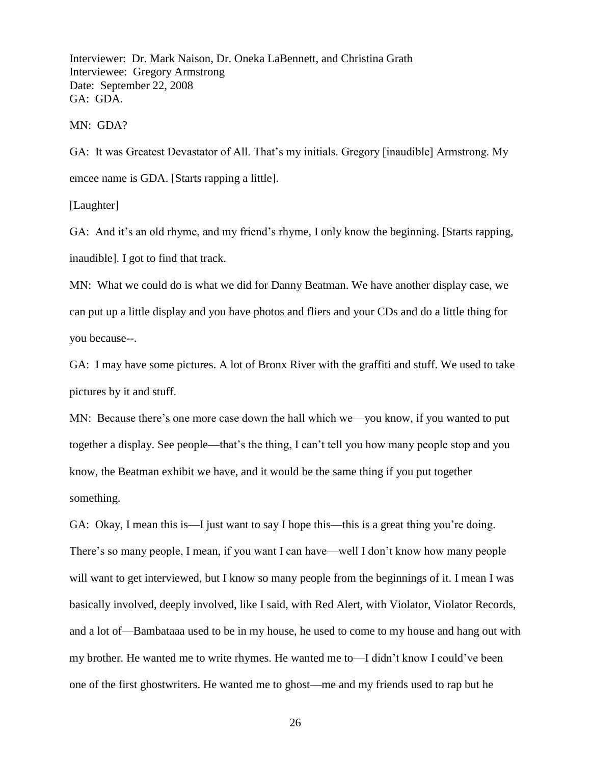Interviewer: Dr. Mark Naison, Dr. Oneka LaBennett, and Christina Grath Interviewee: Gregory Armstrong Date: September 22, 2008 GA: GDA.

MN: GDA?

GA: It was Greatest Devastator of All. That's my initials. Gregory [inaudible] Armstrong. My emcee name is GDA. [Starts rapping a little].

[Laughter]

GA: And it's an old rhyme, and my friend's rhyme, I only know the beginning. [Starts rapping, inaudible]. I got to find that track.

MN: What we could do is what we did for Danny Beatman. We have another display case, we can put up a little display and you have photos and fliers and your CDs and do a little thing for you because--.

GA: I may have some pictures. A lot of Bronx River with the graffiti and stuff. We used to take pictures by it and stuff.

MN: Because there's one more case down the hall which we—you know, if you wanted to put together a display. See people—that's the thing, I can't tell you how many people stop and you know, the Beatman exhibit we have, and it would be the same thing if you put together something.

GA: Okay, I mean this is—I just want to say I hope this—this is a great thing you're doing. There's so many people, I mean, if you want I can have—well I don't know how many people will want to get interviewed, but I know so many people from the beginnings of it. I mean I was basically involved, deeply involved, like I said, with Red Alert, with Violator, Violator Records, and a lot of—Bambataaa used to be in my house, he used to come to my house and hang out with my brother. He wanted me to write rhymes. He wanted me to—I didn't know I could've been one of the first ghostwriters. He wanted me to ghost—me and my friends used to rap but he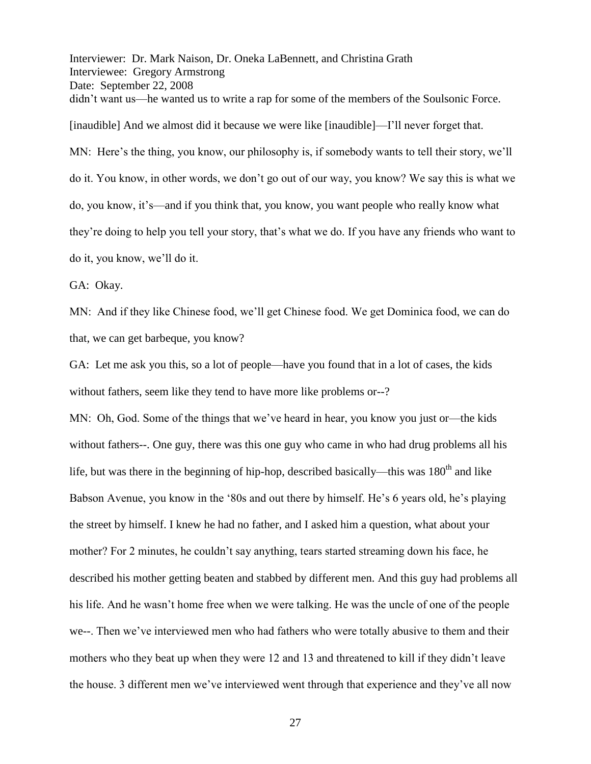Interviewer: Dr. Mark Naison, Dr. Oneka LaBennett, and Christina Grath Interviewee: Gregory Armstrong Date: September 22, 2008 didn't want us—he wanted us to write a rap for some of the members of the Soulsonic Force. [inaudible] And we almost did it because we were like [inaudible]—I'll never forget that. MN: Here's the thing, you know, our philosophy is, if somebody wants to tell their story, we'll do it. You know, in other words, we don't go out of our way, you know? We say this is what we do, you know, it's—and if you think that, you know, you want people who really know what they're doing to help you tell your story, that's what we do. If you have any friends who want to do it, you know, we'll do it.

GA: Okay.

MN: And if they like Chinese food, we'll get Chinese food. We get Dominica food, we can do that, we can get barbeque, you know?

GA: Let me ask you this, so a lot of people—have you found that in a lot of cases, the kids without fathers, seem like they tend to have more like problems or--?

MN: Oh, God. Some of the things that we've heard in hear, you know you just or—the kids without fathers--. One guy, there was this one guy who came in who had drug problems all his life, but was there in the beginning of hip-hop, described basically—this was  $180<sup>th</sup>$  and like Babson Avenue, you know in the '80s and out there by himself. He's 6 years old, he's playing the street by himself. I knew he had no father, and I asked him a question, what about your mother? For 2 minutes, he couldn't say anything, tears started streaming down his face, he described his mother getting beaten and stabbed by different men. And this guy had problems all his life. And he wasn't home free when we were talking. He was the uncle of one of the people we--. Then we've interviewed men who had fathers who were totally abusive to them and their mothers who they beat up when they were 12 and 13 and threatened to kill if they didn't leave the house. 3 different men we've interviewed went through that experience and they've all now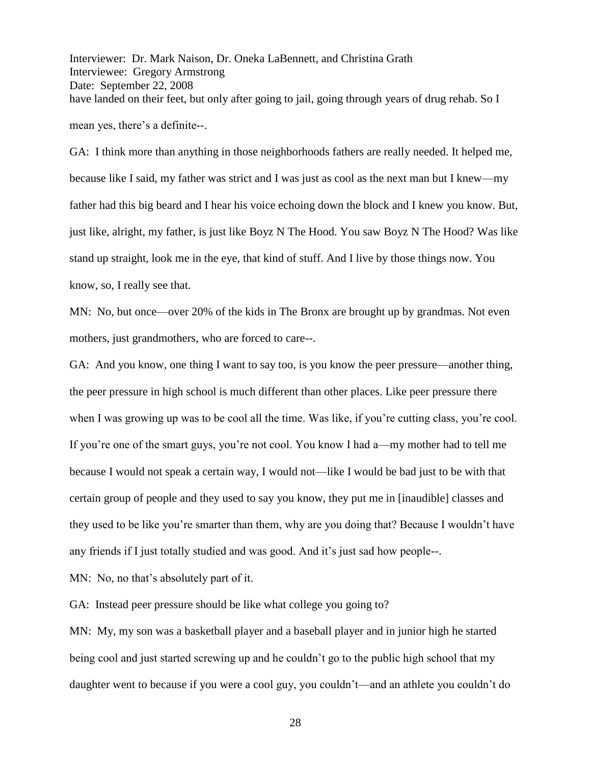Interviewer: Dr. Mark Naison, Dr. Oneka LaBennett, and Christina Grath Interviewee: Gregory Armstrong Date: September 22, 2008 have landed on their feet, but only after going to jail, going through years of drug rehab. So I mean yes, there's a definite--.

GA: I think more than anything in those neighborhoods fathers are really needed. It helped me, because like I said, my father was strict and I was just as cool as the next man but I knew—my father had this big beard and I hear his voice echoing down the block and I knew you know. But, just like, alright, my father, is just like Boyz N The Hood. You saw Boyz N The Hood? Was like stand up straight, look me in the eye, that kind of stuff. And I live by those things now. You know, so, I really see that.

MN: No, but once—over 20% of the kids in The Bronx are brought up by grandmas. Not even mothers, just grandmothers, who are forced to care--.

GA: And you know, one thing I want to say too, is you know the peer pressure—another thing, the peer pressure in high school is much different than other places. Like peer pressure there when I was growing up was to be cool all the time. Was like, if you're cutting class, you're cool. If you're one of the smart guys, you're not cool. You know I had a—my mother had to tell me because I would not speak a certain way, I would not—like I would be bad just to be with that certain group of people and they used to say you know, they put me in [inaudible] classes and they used to be like you're smarter than them, why are you doing that? Because I wouldn't have any friends if I just totally studied and was good. And it's just sad how people--.

MN: No, no that's absolutely part of it.

GA: Instead peer pressure should be like what college you going to?

MN: My, my son was a basketball player and a baseball player and in junior high he started being cool and just started screwing up and he couldn't go to the public high school that my daughter went to because if you were a cool guy, you couldn't—and an athlete you couldn't do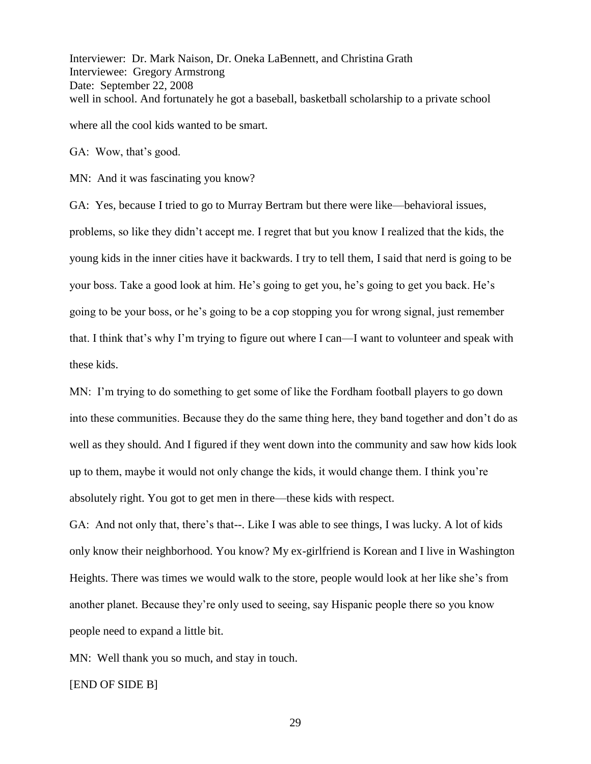Interviewer: Dr. Mark Naison, Dr. Oneka LaBennett, and Christina Grath Interviewee: Gregory Armstrong Date: September 22, 2008 well in school. And fortunately he got a baseball, basketball scholarship to a private school where all the cool kids wanted to be smart.

GA: Wow, that's good.

MN: And it was fascinating you know?

GA: Yes, because I tried to go to Murray Bertram but there were like—behavioral issues, problems, so like they didn't accept me. I regret that but you know I realized that the kids, the young kids in the inner cities have it backwards. I try to tell them, I said that nerd is going to be your boss. Take a good look at him. He's going to get you, he's going to get you back. He's going to be your boss, or he's going to be a cop stopping you for wrong signal, just remember that. I think that's why I'm trying to figure out where I can—I want to volunteer and speak with these kids.

MN: I'm trying to do something to get some of like the Fordham football players to go down into these communities. Because they do the same thing here, they band together and don't do as well as they should. And I figured if they went down into the community and saw how kids look up to them, maybe it would not only change the kids, it would change them. I think you're absolutely right. You got to get men in there—these kids with respect.

GA: And not only that, there's that--. Like I was able to see things, I was lucky. A lot of kids only know their neighborhood. You know? My ex-girlfriend is Korean and I live in Washington Heights. There was times we would walk to the store, people would look at her like she's from another planet. Because they're only used to seeing, say Hispanic people there so you know people need to expand a little bit.

MN: Well thank you so much, and stay in touch.

[END OF SIDE B]